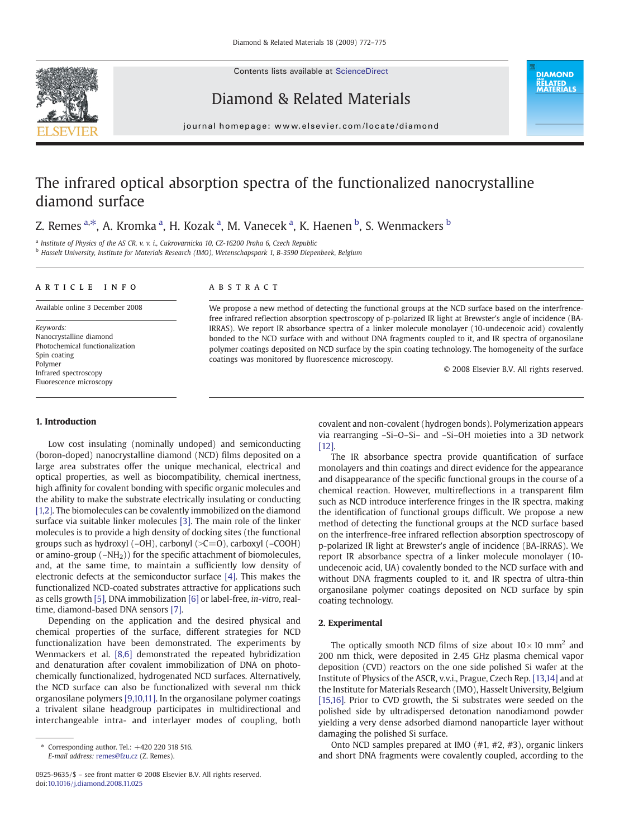Contents lists available at [ScienceDirect](http://www.sciencedirect.com/science/journal/09259635)



Diamond & Related Materials

**DIAMOND RELATED<br>MATERIALS** 

#### journal homepage: www.elsevier.com/locate/diamond

# The infrared optical absorption spectra of the functionalized nanocrystalline diamond surface

## Z. Remes <sup>a,\*</sup>, A. Kromka <sup>a</sup>, H. Kozak <sup>a</sup>, M. Vanecek <sup>a</sup>, K. Haenen <sup>b</sup>, S. Wenmackers <sup>b</sup>

<sup>a</sup> Institute of Physics of the AS CR, v. v. i., Cukrovarnicka 10, CZ-16200 Praha 6, Czech Republic

<sup>b</sup> Hasselt University, Institute for Materials Research (IMO), Wetenschapspark 1, B-3590 Diepenbeek, Belgium

#### article info abstract

Available online 3 December 2008

Keywords: Nanocrystalline diamond Photochemical functionalization Spin coating Polymer Infrared spectroscopy Fluorescence microscopy

#### 1. Introduction

Low cost insulating (nominally undoped) and semiconducting (boron-doped) nanocrystalline diamond (NCD) films deposited on a large area substrates offer the unique mechanical, electrical and optical properties, as well as biocompatibility, chemical inertness, high affinity for covalent bonding with specific organic molecules and the ability to make the substrate electrically insulating or conducting [\[1,2\].](#page-3-0) The biomolecules can be covalently immobilized on the diamond surface via suitable linker molecules [\[3\]](#page-3-0). The main role of the linker molecules is to provide a high density of docking sites (the functional groups such as hydroxyl (-OH), carbonyl (>C=O), carboxyl (-COOH) or amino-group  $(-NH<sub>2</sub>)$ ) for the specific attachment of biomolecules, and, at the same time, to maintain a sufficiently low density of electronic defects at the semiconductor surface [\[4\]](#page-3-0). This makes the functionalized NCD-coated substrates attractive for applications such as cells growth [\[5\]](#page-3-0), DNA immobilization [\[6\]](#page-3-0) or label-free, in-vitro, realtime, diamond-based DNA sensors [\[7\].](#page-3-0)

Depending on the application and the desired physical and chemical properties of the surface, different strategies for NCD functionalization have been demonstrated. The experiments by Wenmackers et al. [\[8,6\]](#page-3-0) demonstrated the repeated hybridization and denaturation after covalent immobilization of DNA on photochemically functionalized, hydrogenated NCD surfaces. Alternatively, the NCD surface can also be functionalized with several nm thick organosilane polymers [\[9,10,11\]](#page-3-0). In the organosilane polymer coatings a trivalent silane headgroup participates in multidirectional and interchangeable intra- and interlayer modes of coupling, both

We propose a new method of detecting the functional groups at the NCD surface based on the interfrencefree infrared reflection absorption spectroscopy of p-polarized IR light at Brewster's angle of incidence (BA-IRRAS). We report IR absorbance spectra of a linker molecule monolayer (10-undecenoic acid) covalently bonded to the NCD surface with and without DNA fragments coupled to it, and IR spectra of organosilane polymer coatings deposited on NCD surface by the spin coating technology. The homogeneity of the surface coatings was monitored by fluorescence microscopy.

© 2008 Elsevier B.V. All rights reserved.

covalent and non-covalent (hydrogen bonds). Polymerization appears via rearranging –Si–O–Si– and –Si–OH moieties into a 3D network [\[12\]](#page-3-0).

The IR absorbance spectra provide quantification of surface monolayers and thin coatings and direct evidence for the appearance and disappearance of the specific functional groups in the course of a chemical reaction. However, multireflections in a transparent film such as NCD introduce interference fringes in the IR spectra, making the identification of functional groups difficult. We propose a new method of detecting the functional groups at the NCD surface based on the interfrence-free infrared reflection absorption spectroscopy of p-polarized IR light at Brewster's angle of incidence (BA-IRRAS). We report IR absorbance spectra of a linker molecule monolayer (10 undecenoic acid, UA) covalently bonded to the NCD surface with and without DNA fragments coupled to it, and IR spectra of ultra-thin organosilane polymer coatings deposited on NCD surface by spin coating technology.

### 2. Experimental

The optically smooth NCD films of size about  $10 \times 10$  mm<sup>2</sup> and 200 nm thick, were deposited in 2.45 GHz plasma chemical vapor deposition (CVD) reactors on the one side polished Si wafer at the Institute of Physics of the ASCR, v.v.i., Prague, Czech Rep. [\[13,14\]](#page-3-0) and at the Institute for Materials Research (IMO), Hasselt University, Belgium [\[15,16\].](#page-3-0) Prior to CVD growth, the Si substrates were seeded on the polished side by ultradispersed detonation nanodiamond powder yielding a very dense adsorbed diamond nanoparticle layer without damaging the polished Si surface.

Onto NCD samples prepared at IMO (#1, #2, #3), organic linkers and short DNA fragments were covalently coupled, according to the

 $*$  Corresponding author. Tel.:  $+420$  220 318 516. E-mail address: [remes@fzu.cz](mailto:remes@fzu.cz) (Z. Remes).

<sup>0925-9635/\$</sup> – see front matter © 2008 Elsevier B.V. All rights reserved. doi[:10.1016/j.diamond.2008.11.025](http://dx.doi.org/10.1016/j.diamond.2008.11.025)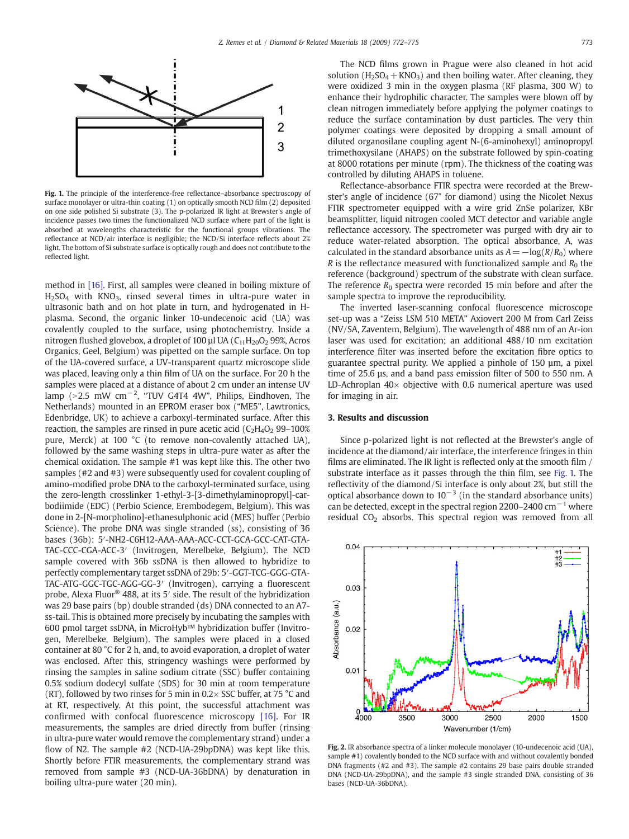<span id="page-1-0"></span>

Fig. 1. The principle of the interference-free reflectance–absorbance spectroscopy of surface monolayer or ultra-thin coating (1) on optically smooth NCD film (2) deposited on one side polished Si substrate (3). The p-polarized IR light at Brewster's angle of incidence passes two times the functionalized NCD surface where part of the light is absorbed at wavelengths characteristic for the functional groups vibrations. The reflectance at NCD/air interface is negligible; the NCD/Si interface reflects about 2% light. The bottom of Si substrate surface is optically rough and does not contribute to the reflected light.

method in [\[16\].](#page-3-0) First, all samples were cleaned in boiling mixture of  $H<sub>2</sub>SO<sub>4</sub>$  with KNO<sub>3</sub>, rinsed several times in ultra-pure water in ultrasonic bath and on hot plate in turn, and hydrogenated in Hplasma. Second, the organic linker 10-undecenoic acid (UA) was covalently coupled to the surface, using photochemistry. Inside a nitrogen flushed glovebox, a droplet of 100 µl UA  $(C_{11}H_{20}O_2 99\%$ , Acros Organics, Geel, Belgium) was pipetted on the sample surface. On top of the UA-covered surface, a UV-transparent quartz microscope slide was placed, leaving only a thin film of UA on the surface. For 20 h the samples were placed at a distance of about 2 cm under an intense UV lamp (>2.5 mW cm<sup>−2</sup>, "TUV G4T4 4W", Philips, Eindhoven, The Netherlands) mounted in an EPROM eraser box ("ME5", Lawtronics, Edenbridge, UK) to achieve a carboxyl-terminated surface. After this reaction, the samples are rinsed in pure acetic acid  $(C_2H_4O_2 99-100\%)$ pure, Merck) at 100 °C (to remove non-covalently attached UA), followed by the same washing steps in ultra-pure water as after the chemical oxidation. The sample #1 was kept like this. The other two samples (#2 and #3) were subsequently used for covalent coupling of amino-modified probe DNA to the carboxyl-terminated surface, using the zero-length crosslinker 1-ethyl-3-[3-dimethylaminopropyl]-carbodiimide (EDC) (Perbio Science, Erembodegem, Belgium). This was done in 2-[N-morpholino]-ethanesulphonic acid (MES) buffer (Perbio Science). The probe DNA was single stranded (ss), consisting of 36 bases (36b): 5′-NH2-C6H12-AAA-AAA-ACC-CCT-GCA-GCC-CAT-GTA-TAC-CCC-CGA-ACC-3′ (Invitrogen, Merelbeke, Belgium). The NCD sample covered with 36b ssDNA is then allowed to hybridize to perfectly complementary target ssDNA of 29b: 5′-GGT-TCG-GGG-GTA-TAC-ATG-GGC-TGC-AGG-GG-3′ (Invitrogen), carrying a fluorescent probe, Alexa Fluor® 488, at its 5′ side. The result of the hybridization was 29 base pairs (bp) double stranded (ds) DNA connected to an A7 ss-tail. This is obtained more precisely by incubating the samples with 600 pmol target ssDNA, in MicroHyb™ hybridization buffer (Invitrogen, Merelbeke, Belgium). The samples were placed in a closed container at 80 °C for 2 h, and, to avoid evaporation, a droplet of water was enclosed. After this, stringency washings were performed by rinsing the samples in saline sodium citrate (SSC) buffer containing 0.5% sodium dodecyl sulfate (SDS) for 30 min at room temperature (RT), followed by two rinses for 5 min in 0.2 $\times$  SSC buffer, at 75 °C and at RT, respectively. At this point, the successful attachment was confirmed with confocal fluorescence microscopy [\[16\].](#page-3-0) For IR measurements, the samples are dried directly from buffer (rinsing in ultra-pure water would remove the complementary strand) under a flow of N2. The sample #2 (NCD-UA-29bpDNA) was kept like this. Shortly before FTIR measurements, the complementary strand was removed from sample #3 (NCD-UA-36bDNA) by denaturation in boiling ultra-pure water (20 min).

The NCD films grown in Prague were also cleaned in hot acid solution ( $H_2SO_4+KNO_3$ ) and then boiling water. After cleaning, they were oxidized 3 min in the oxygen plasma (RF plasma, 300 W) to enhance their hydrophilic character. The samples were blown off by clean nitrogen immediately before applying the polymer coatings to reduce the surface contamination by dust particles. The very thin polymer coatings were deposited by dropping a small amount of diluted organosilane coupling agent N-(6-aminohexyl) aminopropyl trimethoxysilane (AHAPS) on the substrate followed by spin-coating at 8000 rotations per minute (rpm). The thickness of the coating was controlled by diluting AHAPS in toluene.

Reflectance-absorbance FTIR spectra were recorded at the Brewster's angle of incidence (67° for diamond) using the Nicolet Nexus FTIR spectrometer equipped with a wire grid ZnSe polarizer, KBr beamsplitter, liquid nitrogen cooled MCT detector and variable angle reflectance accessory. The spectrometer was purged with dry air to reduce water-related absorption. The optical absorbance, A, was calculated in the standard absorbance units as  $A=-\log(R/R_0)$  where R is the reflectance measured with functionalized sample and  $R_0$  the reference (background) spectrum of the substrate with clean surface. The reference  $R_0$  spectra were recorded 15 min before and after the sample spectra to improve the reproducibility.

The inverted laser-scanning confocal fluorescence microscope set-up was a "Zeiss LSM 510 META" Axiovert 200 M from Carl Zeiss (NV/SA, Zaventem, Belgium). The wavelength of 488 nm of an Ar-ion laser was used for excitation; an additional 488/10 nm excitation interference filter was inserted before the excitation fibre optics to guarantee spectral purity. We applied a pinhole of 150 µm, a pixel time of 25.6 µs, and a band pass emission filter of 500 to 550 nm. A LD-Achroplan  $40\times$  objective with 0.6 numerical aperture was used for imaging in air.

#### 3. Results and discussion

Since p-polarized light is not reflected at the Brewster's angle of incidence at the diamond/air interface, the interference fringes in thin films are eliminated. The IR light is reflected only at the smooth film / substrate interface as it passes through the thin film, see Fig. 1. The reflectivity of the diamond/Si interface is only about 2%, but still the optical absorbance down to  $10^{-3}$  (in the standard absorbance units) can be detected, except in the spectral region 2200–2400  $cm^{-1}$  where residual  $CO<sub>2</sub>$  absorbs. This spectral region was removed from all



Fig. 2. IR absorbance spectra of a linker molecule monolayer (10-undecenoic acid (UA), sample #1) covalently bonded to the NCD surface with and without covalently bonded DNA fragments (#2 and #3). The sample #2 contains 29 base pairs double stranded DNA (NCD-UA-29bpDNA), and the sample #3 single stranded DNA, consisting of 36 bases (NCD-UA-36bDNA).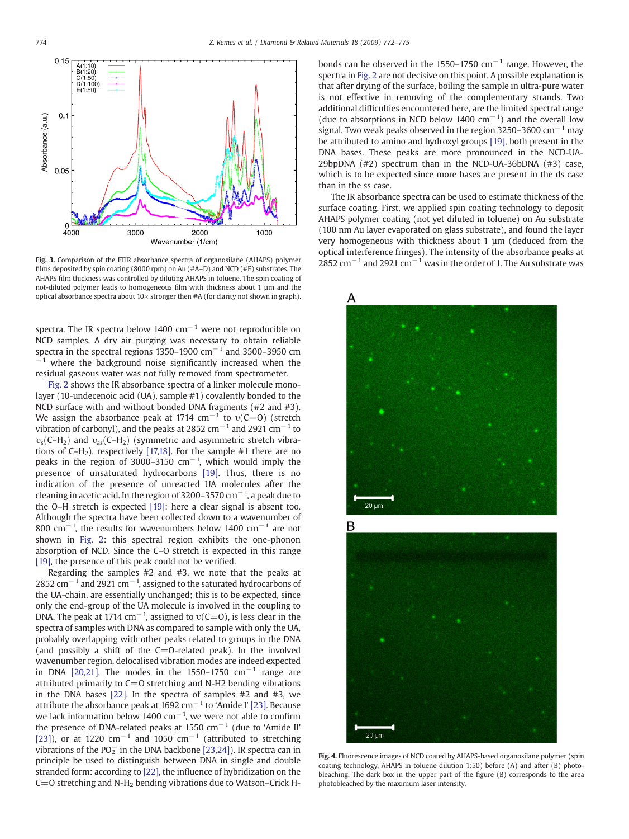<span id="page-2-0"></span>

films deposited by spin coating (8000 rpm) on Au (#A–D) and NCD (#E) substrates. The AHAPS film thickness was controlled by diluting AHAPS in toluene. The spin coating of not-diluted polymer leads to homogeneous film with thickness about 1 µm and the optical absorbance spectra about  $10\times$  stronger then #A (for clarity not shown in graph).

spectra. The IR spectra below 1400  $cm^{-1}$  were not reproducible on NCD samples. A dry air purging was necessary to obtain reliable spectra in the spectral regions 1350–1900  $\text{cm}^{-1}$  and 3500–3950 cm  $-1$  where the background noise significantly increased when the residual gaseous water was not fully removed from spectrometer.

[Fig. 2](#page-1-0) shows the IR absorbance spectra of a linker molecule monolayer (10-undecenoic acid (UA), sample #1) covalently bonded to the NCD surface with and without bonded DNA fragments (#2 and #3). We assign the absorbance peak at 1714  $cm^{-1}$  to  $v(C=0)$  (stretch vibration of carbonyl), and the peaks at 2852 cm<sup>-1</sup> and 2921 cm<sup>-1</sup> to  $v_s$ (C–H<sub>2</sub>) and  $v_{as}$ (C–H<sub>2</sub>) (symmetric and asymmetric stretch vibrations of  $C-H_2$ ), respectively [\[17,18\].](#page-3-0) For the sample #1 there are no peaks in the region of 3000–3150  $cm^{-1}$ , which would imply the presence of unsaturated hydrocarbons [\[19\].](#page-3-0) Thus, there is no indication of the presence of unreacted UA molecules after the cleaning in acetic acid. In the region of 3200–3570 cm $^{-1}$ , a peak due to the O–H stretch is expected [\[19\]](#page-3-0): here a clear signal is absent too. Although the spectra have been collected down to a wavenumber of 800 cm<sup>-1</sup>, the results for wavenumbers below 1400 cm<sup>-1</sup> are not shown in [Fig. 2](#page-1-0): this spectral region exhibits the one-phonon absorption of NCD. Since the C–O stretch is expected in this range [\[19\],](#page-3-0) the presence of this peak could not be verified.

Regarding the samples #2 and #3, we note that the peaks at 2852 cm $^{-1}$  and 2921 cm $^{-1}$ , assigned to the saturated hydrocarbons of the UA-chain, are essentially unchanged; this is to be expected, since only the end-group of the UA molecule is involved in the coupling to DNA. The peak at 1714 cm<sup>-1</sup>, assigned to  $v(C=0)$ , is less clear in the spectra of samples with DNA as compared to sample with only the UA, probably overlapping with other peaks related to groups in the DNA (and possibly a shift of the  $C=O$ -related peak). In the involved wavenumber region, delocalised vibration modes are indeed expected in DNA [\[20,21\].](#page-3-0) The modes in the 1550–1750  $cm^{-1}$  range are attributed primarily to  $C=O$  stretching and N-H2 bending vibrations in the DNA bases [\[22\]](#page-3-0). In the spectra of samples #2 and #3, we attribute the absorbance peak at 1692 cm<sup>-1</sup> to 'Amide I' [\[23\]](#page-3-0). Because we lack information below 1400 cm<sup>-1</sup>, we were not able to confirm the presence of DNA-related peaks at 1550  $cm^{-1}$  (due to 'Amide II' [\[23\]](#page-3-0)), or at 1220 cm<sup>-1</sup> and 1050 cm<sup>-1</sup> (attributed to stretching vibrations of the PO $_2^-$  in the DNA backbone [\[23,24\]\)](#page-3-0). IR spectra can in principle be used to distinguish between DNA in single and double stranded form: according to [\[22\]](#page-3-0), the influence of hybridization on the  $C=0$  stretching and N-H<sub>2</sub> bending vibrations due to Watson–Crick H- bonds can be observed in the 1550–1750  $cm^{-1}$  range. However, the spectra in [Fig. 2](#page-1-0) are not decisive on this point. A possible explanation is that after drying of the surface, boiling the sample in ultra-pure water is not effective in removing of the complementary strands. Two additional difficulties encountered here, are the limited spectral range (due to absorptions in NCD below 1400  $cm^{-1}$ ) and the overall low signal. Two weak peaks observed in the region 3250–3600 cm<sup>-1</sup> may be attributed to amino and hydroxyl groups [\[19\]](#page-3-0), both present in the DNA bases. These peaks are more pronounced in the NCD-UA-29bpDNA (#2) spectrum than in the NCD-UA-36bDNA (#3) case, which is to be expected since more bases are present in the ds case than in the ss case.

The IR absorbance spectra can be used to estimate thickness of the surface coating. First, we applied spin coating technology to deposit AHAPS polymer coating (not yet diluted in toluene) on Au substrate (100 nm Au layer evaporated on glass substrate), and found the layer very homogeneous with thickness about 1 µm (deduced from the optical interference fringes). The intensity of the absorbance peaks at Fig. 3. Comparison of the FTIR absorbance spectra of organosilane (AHAPS) polymer 2852 cm<sup>-1</sup> and 2921 cm<sup>-1</sup> was in the order of 1. The Au substrate was



Fig. 4. Fluorescence images of NCD coated by AHAPS-based organosilane polymer (spin coating technology, AHAPS in toluene dilution 1:50) before (A) and after (B) photobleaching. The dark box in the upper part of the figure (B) corresponds to the area photobleached by the maximum laser intensity.